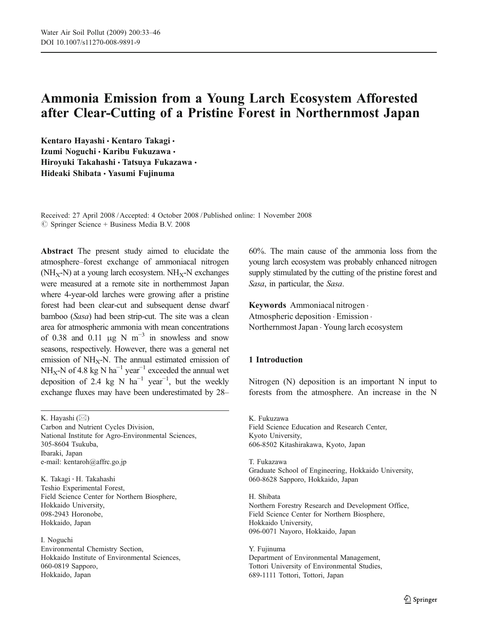# Ammonia Emission from a Young Larch Ecosystem Afforested after Clear-Cutting of a Pristine Forest in Northernmost Japan

Kentaro Hayashi · Kentaro Takagi · Izumi Noguchi · Karibu Fukuzawa · Hiroyuki Takahashi · Tatsuya Fukazawa · Hideaki Shibata · Yasumi Fujinuma

Received: 27 April 2008 /Accepted: 4 October 2008 / Published online: 1 November 2008  $\circled{c}$  Springer Science + Business Media B.V. 2008

Abstract The present study aimed to elucidate the atmosphere–forest exchange of ammoniacal nitrogen  $(NH_X-N)$  at a young larch ecosystem.  $NH_X-N$  exchanges were measured at a remote site in northernmost Japan where 4-year-old larches were growing after a pristine forest had been clear-cut and subsequent dense dwarf bamboo (Sasa) had been strip-cut. The site was a clean area for atmospheric ammonia with mean concentrations of 0.38 and 0.11  $\mu$ g N m<sup>-3</sup> in snowless and snow seasons, respectively. However, there was a general net emission of  $NH_X-N$ . The annual estimated emission of NH<sub>x</sub>-N of 4.8 kg N ha<sup>-1</sup> year<sup>-1</sup> exceeded the annual wet deposition of 2.4 kg N ha<sup>-1</sup> year<sup>-1</sup>, but the weekly exchange fluxes may have been underestimated by 28–

K. Hayashi (*\**)

Carbon and Nutrient Cycles Division, National Institute for Agro-Environmental Sciences, 305-8604 Tsukuba, Ibaraki, Japan e-mail: kentaroh@affrc.go.jp

K. Takagi : H. Takahashi Teshio Experimental Forest, Field Science Center for Northern Biosphere, Hokkaido University, 098-2943 Horonobe, Hokkaido, Japan

I. Noguchi

Environmental Chemistry Section, Hokkaido Institute of Environmental Sciences, 060-0819 Sapporo, Hokkaido, Japan

60%. The main cause of the ammonia loss from the young larch ecosystem was probably enhanced nitrogen supply stimulated by the cutting of the pristine forest and Sasa, in particular, the Sasa.

Keywords Ammoniacal nitrogen . Atmospheric deposition . Emission . Northernmost Japan . Young larch ecosystem

# 1 Introduction

Nitrogen (N) deposition is an important N input to forests from the atmosphere. An increase in the N

K. Fukuzawa Field Science Education and Research Center, Kyoto University, 606-8502 Kitashirakawa, Kyoto, Japan

T. Fukazawa Graduate School of Engineering, Hokkaido University, 060-8628 Sapporo, Hokkaido, Japan

H. Shibata Northern Forestry Research and Development Office, Field Science Center for Northern Biosphere, Hokkaido University, 096-0071 Nayoro, Hokkaido, Japan

Y. Fujinuma Department of Environmental Management, Tottori University of Environmental Studies, 689-1111 Tottori, Tottori, Japan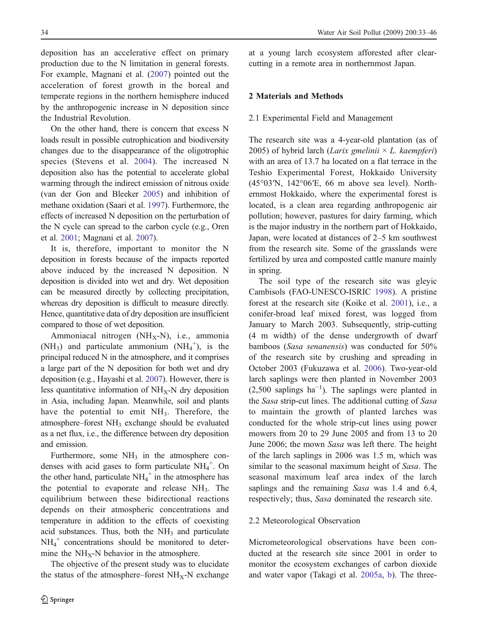<span id="page-1-0"></span>deposition has an accelerative effect on primary production due to the N limitation in general forests. For example, Magnani et al. [\(2007](#page-12-0)) pointed out the acceleration of forest growth in the boreal and temperate regions in the northern hemisphere induced by the anthropogenic increase in N deposition since the Industrial Revolution.

On the other hand, there is concern that excess N loads result in possible eutrophication and biodiversity changes due to the disappearance of the oligotrophic species (Stevens et al. [2004](#page-12-0)). The increased N deposition also has the potential to accelerate global warming through the indirect emission of nitrous oxide (van der Gon and Bleeker [2005](#page-13-0)) and inhibition of methane oxidation (Saari et al. [1997](#page-12-0)). Furthermore, the effects of increased N deposition on the perturbation of the N cycle can spread to the carbon cycle (e.g., Oren et al. [2001](#page-12-0); Magnani et al. [2007](#page-12-0)).

It is, therefore, important to monitor the N deposition in forests because of the impacts reported above induced by the increased N deposition. N deposition is divided into wet and dry. Wet deposition can be measured directly by collecting precipitation, whereas dry deposition is difficult to measure directly. Hence, quantitative data of dry deposition are insufficient compared to those of wet deposition.

Ammoniacal nitrogen (NH<sub>X</sub>-N), i.e., ammonia (NH<sub>3</sub>) and particulate ammonium (NH<sub>4</sub><sup>+</sup>), is the principal reduced N in the atmosphere, and it comprises a large part of the N deposition for both wet and dry deposition (e.g., Hayashi et al. [2007](#page-12-0)). However, there is less quantitative information of  $NH<sub>x</sub>-N$  dry deposition in Asia, including Japan. Meanwhile, soil and plants have the potential to emit  $NH<sub>3</sub>$ . Therefore, the atmosphere–forest NH<sub>3</sub> exchange should be evaluated as a net flux, i.e., the difference between dry deposition and emission.

Furthermore, some  $NH<sub>3</sub>$  in the atmosphere condenses with acid gases to form particulate  $NH_4^+$ . On the other hand, particulate  $NH_4^+$  in the atmosphere has the potential to evaporate and release  $NH<sub>3</sub>$ . The equilibrium between these bidirectional reactions depends on their atmospheric concentrations and temperature in addition to the effects of coexisting acid substances. Thus, both the  $NH<sub>3</sub>$  and particulate  $NH_4^+$  concentrations should be monitored to determine the  $NH_X-N$  behavior in the atmosphere.

The objective of the present study was to elucidate the status of the atmosphere–forest  $NH_X-N$  exchange at a young larch ecosystem afforested after clearcutting in a remote area in northernmost Japan.

# 2 Materials and Methods

#### 2.1 Experimental Field and Management

The research site was a 4-year-old plantation (as of 2005) of hybrid larch (Larix gmelinii  $\times$  L. kaempferi) with an area of 13.7 ha located on a flat terrace in the Teshio Experimental Forest, Hokkaido University (45°03′N, 142°06′E, 66 m above sea level). Northernmost Hokkaido, where the experimental forest is located, is a clean area regarding anthropogenic air pollution; however, pastures for dairy farming, which is the major industry in the northern part of Hokkaido, Japan, were located at distances of 2–5 km southwest from the research site. Some of the grasslands were fertilized by urea and composted cattle manure mainly in spring.

The soil type of the research site was gleyic Cambisols (FAO-UNESCO-ISRIC [1998](#page-11-0)). A pristine forest at the research site (Koike et al. [2001](#page-12-0)), i.e., a conifer-broad leaf mixed forest, was logged from January to March 2003. Subsequently, strip-cutting (4 m width) of the dense undergrowth of dwarf bamboos (Sasa senanensis) was conducted for 50% of the research site by crushing and spreading in October 2003 (Fukuzawa et al. [2006](#page-11-0)). Two-year-old larch saplings were then planted in November 2003  $(2,500$  saplings ha<sup>-1</sup>). The saplings were planted in the Sasa strip-cut lines. The additional cutting of Sasa to maintain the growth of planted larches was conducted for the whole strip-cut lines using power mowers from 20 to 29 June 2005 and from 13 to 20 June 2006; the mown Sasa was left there. The height of the larch saplings in 2006 was 1.5 m, which was similar to the seasonal maximum height of Sasa. The seasonal maximum leaf area index of the larch saplings and the remaining Sasa was 1.4 and 6.4, respectively; thus, Sasa dominated the research site.

# 2.2 Meteorological Observation

Micrometeorological observations have been conducted at the research site since 2001 in order to monitor the ecosystem exchanges of carbon dioxide and water vapor (Takagi et al. [2005a](#page-12-0), [b](#page-13-0)). The three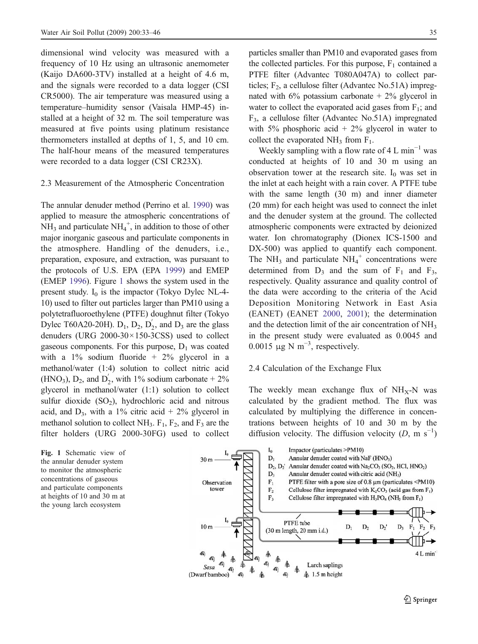dimensional wind velocity was measured with a frequency of 10 Hz using an ultrasonic anemometer (Kaijo DA600-3TV) installed at a height of 4.6 m, and the signals were recorded to a data logger (CSI CR5000). The air temperature was measured using a temperature–humidity sensor (Vaisala HMP-45) installed at a height of 32 m. The soil temperature was measured at five points using platinum resistance thermometers installed at depths of 1, 5, and 10 cm. The half-hour means of the measured temperatures were recorded to a data logger (CSI CR23X).

#### 2.3 Measurement of the Atmospheric Concentration

The annular denuder method (Perrino et al. [1990](#page-12-0)) was applied to measure the atmospheric concentrations of  $NH<sub>3</sub>$  and particulate  $NH<sub>4</sub><sup>+</sup>$ , in addition to those of other major inorganic gaseous and particulate components in the atmosphere. Handling of the denuders, i.e., preparation, exposure, and extraction, was pursuant to the protocols of U.S. EPA (EPA [1999](#page-11-0)) and EMEP (EMEP [1996](#page-11-0)). Figure 1 shows the system used in the present study.  $I_0$  is the impactor (Tokyo Dylec NL-4-10) used to filter out particles larger than PM10 using a polytetrafluoroethylene (PTFE) doughnut filter (Tokyo Dylec T60A20-20H).  $D_1$ ,  $D_2$ ,  $D_2'$ , and  $D_3$  are the glass denuders (URG 2000-30×150-3CSS) used to collect gaseous components. For this purpose,  $D_1$  was coated with a  $1\%$  sodium fluoride +  $2\%$  glycerol in a methanol/water (1:4) solution to collect nitric acid  $(HNO<sub>3</sub>), D<sub>2</sub>, and D'<sub>2</sub>, with 1% sodium carbonate + 2%$ glycerol in methanol/water (1:1) solution to collect sulfur dioxide  $(SO<sub>2</sub>)$ , hydrochloric acid and nitrous acid, and  $D_3$ , with a 1% citric acid + 2% glycerol in methanol solution to collect  $NH_3$ .  $F_1$ ,  $F_2$ , and  $F_3$  are the filter holders (URG 2000-30FG) used to collect

Fig. 1 Schematic view of the annular denuder system to monitor the atmospheric concentrations of gaseous and particulate components at heights of 10 and 30 m at the young larch ecosystem

particles smaller than PM10 and evaporated gases from the collected particles. For this purpose,  $F_1$  contained a PTFE filter (Advantec T080A047A) to collect particles;  $F_2$ , a cellulose filter (Advantec No.51A) impregnated with  $6\%$  potassium carbonate  $+2\%$  glycerol in water to collect the evaporated acid gases from  $F_1$ ; and F3, a cellulose filter (Advantec No.51A) impregnated with 5% phosphoric acid  $+ 2\%$  glycerol in water to collect the evaporated  $NH_3$  from  $F_1$ .

Weekly sampling with a flow rate of 4 L min<sup>-1</sup> was conducted at heights of 10 and 30 m using an observation tower at the research site.  $I_0$  was set in the inlet at each height with a rain cover. A PTFE tube with the same length (30 m) and inner diameter (20 mm) for each height was used to connect the inlet and the denuder system at the ground. The collected atmospheric components were extracted by deionized water. Ion chromatography (Dionex ICS-1500 and DX-500) was applied to quantify each component. The NH<sub>3</sub> and particulate  $NH_4^+$  concentrations were determined from  $D_3$  and the sum of  $F_1$  and  $F_3$ , respectively. Quality assurance and quality control of the data were according to the criteria of the Acid Deposition Monitoring Network in East Asia (EANET) (EANET [2000](#page-11-0), [2001](#page-11-0)); the determination and the detection limit of the air concentration of NH<sub>3</sub> in the present study were evaluated as 0.0045 and 0.0015  $\mu$ g N m<sup>-3</sup>, respectively.

#### 2.4 Calculation of the Exchange Flux

The weekly mean exchange flux of  $NH_X-N$  was calculated by the gradient method. The flux was calculated by multiplying the difference in concentrations between heights of 10 and 30 m by the diffusion velocity. The diffusion velocity  $(D, m s^{-1})$ 

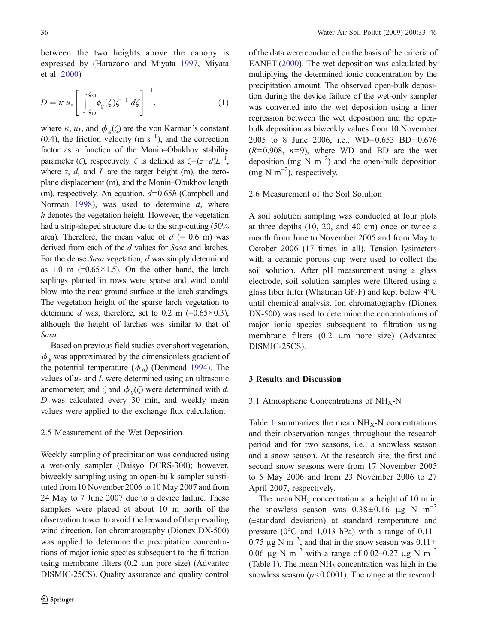between the two heights above the canopy is expressed by (Harazono and Miyata [1997](#page-12-0), Miyata et al. [2000](#page-12-0))

$$
D = \kappa u_* \left[ \int_{\zeta_{10}}^{\zeta_{30}} \phi_g(\zeta) \zeta^{-1} d\zeta \right]^{-1}, \tag{1}
$$

where  $\kappa$ ,  $u_*$ , and  $\phi_g(\zeta)$  are the von Karman's constant (0.4), the friction velocity (m  $s^{-1}$ ), and the correction factor as a function of the Monin–Obukhov stability parameter ( $\zeta$ ), respectively.  $\zeta$  is defined as  $\zeta = (z-d)L^{-1}$ , where  $z$ ,  $d$ , and  $L$  are the target height (m), the zeroplane displacement (m), and the Monin–Obukhov length (m), respectively. An equation,  $d=0.65h$  (Campbell and Norman [1998](#page-11-0)), was used to determine  $d$ , where h denotes the vegetation height. However, the vegetation had a strip-shaped structure due to the strip-cutting (50% area). Therefore, the mean value of  $d (= 0.6 \text{ m})$  was derived from each of the d values for Sasa and larches. For the dense Sasa vegetation, d was simply determined as 1.0 m  $(=0.65 \times 1.5)$ . On the other hand, the larch saplings planted in rows were sparse and wind could blow into the near ground surface at the larch standings. The vegetation height of the sparse larch vegetation to determine d was, therefore, set to 0.2 m  $(=0.65\times0.3)$ , although the height of larches was similar to that of Sasa.

Based on previous field studies over short vegetation,  $\phi_{g}$  was approximated by the dimensionless gradient of the potential temperature  $(\phi_h)$  (Denmead [1994](#page-11-0)). The values of  $u$ <sup>\*</sup> and  $L$  were determined using an ultrasonic anemometer; and  $\zeta$  and  $\phi_{\varrho}(\zeta)$  were determined with d. D was calculated every 30 min, and weekly mean values were applied to the exchange flux calculation.

# 2.5 Measurement of the Wet Deposition

Weekly sampling of precipitation was conducted using a wet-only sampler (Daisyo DCRS-300); however, biweekly sampling using an open-bulk sampler substituted from 10 November 2006 to 10 May 2007 and from 24 May to 7 June 2007 due to a device failure. These samplers were placed at about 10 m north of the observation tower to avoid the leeward of the prevailing wind direction. Ion chromatography (Dionex DX-500) was applied to determine the precipitation concentrations of major ionic species subsequent to the filtration using membrane filters (0.2 μm pore size) (Advantec DISMIC-25CS). Quality assurance and quality control

of the data were conducted on the basis of the criteria of EANET [\(2000](#page-11-0)). The wet deposition was calculated by multiplying the determined ionic concentration by the precipitation amount. The observed open-bulk deposition during the device failure of the wet-only sampler was converted into the wet deposition using a liner regression between the wet deposition and the openbulk deposition as biweekly values from 10 November 2005 to 8 June 2006, i.e., WD=0.653 BD−0.676  $(R=0.908, n=9)$ , where WD and BD are the wet deposition (mg N m<sup>-2</sup>) and the open-bulk deposition  $\text{(mg N m}^{-2})$ , respectively.

# 2.6 Measurement of the Soil Solution

A soil solution sampling was conducted at four plots at three depths (10, 20, and 40 cm) once or twice a month from June to November 2005 and from May to October 2006 (17 times in all). Tension lysimeters with a ceramic porous cup were used to collect the soil solution. After pH measurement using a glass electrode, soil solution samples were filtered using a glass fiber filter (Whatman GF/F) and kept below 4°C until chemical analysis. Ion chromatography (Dionex DX-500) was used to determine the concentrations of major ionic species subsequent to filtration using membrane filters (0.2 μm pore size) (Advantec DISMIC-25CS).

# 3 Results and Discussion

#### 3.1 Atmospheric Concentrations of  $NH_X-N$

Table [1](#page-4-0) summarizes the mean  $NH_X-N$  concentrations and their observation ranges throughout the research period and for two seasons, i.e., a snowless season and a snow season. At the research site, the first and second snow seasons were from 17 November 2005 to 5 May 2006 and from 23 November 2006 to 27 April 2007, respectively.

The mean  $NH_3$  concentration at a height of 10 m in the snowless season was  $0.38\pm0.16$  μg N m<sup>-3</sup> (±standard deviation) at standard temperature and pressure ( $0^{\circ}$ C and 1,013 hPa) with a range of 0.11– 0.75  $\mu$ g N m<sup>-3</sup>, and that in the snow season was 0.11± 0.06 μg N m<sup>-3</sup> with a range of 0.02–0.27 μg N m<sup>-3</sup> (Table [1](#page-4-0)). The mean  $NH_3$  concentration was high in the snowless season  $(p<0.0001)$ . The range at the research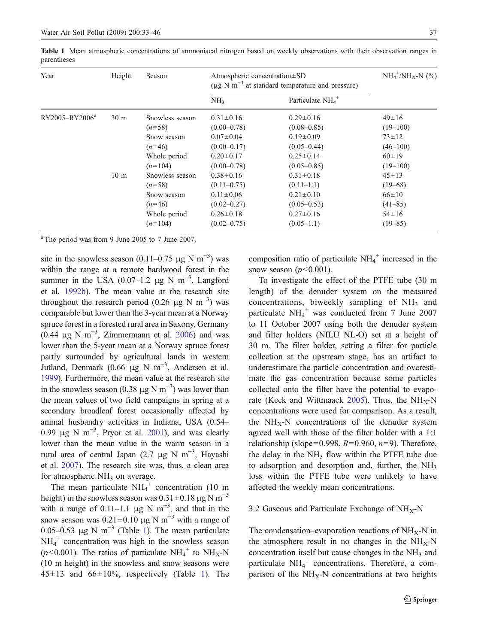| Year                       | Height          | Season          | Atmospheric concentration $\pm SD$<br>$(\mu g N m^{-3}$ at standard temperature and pressure) |                                | $NH_4^+/\text{NH}_X$ -N (%) |
|----------------------------|-----------------|-----------------|-----------------------------------------------------------------------------------------------|--------------------------------|-----------------------------|
|                            |                 |                 | NH <sub>3</sub>                                                                               | Particulate $NH4$ <sup>+</sup> |                             |
| RY2005-RY2006 <sup>a</sup> | 30 <sub>m</sub> | Snowless season | $0.31 \pm 0.16$                                                                               | $0.29 \pm 0.16$                | $49 \pm 16$                 |
|                            |                 | $(n=58)$        | $(0.00 - 0.78)$                                                                               | $(0.08 - 0.85)$                | $(19 - 100)$                |
|                            |                 | Snow season     | $0.07 \pm 0.04$                                                                               | $0.19 \pm 0.09$                | $73 + 12$                   |
|                            |                 | $(n=46)$        | $(0.00-0.17)$                                                                                 | $(0.05 - 0.44)$                | $(46 - 100)$                |
|                            |                 | Whole period    | $0.20 \pm 0.17$                                                                               | $0.25 \pm 0.14$                | $60 \pm 19$                 |
|                            |                 | $(n=104)$       | $(0.00 - 0.78)$                                                                               | $(0.05 - 0.85)$                | $(19-100)$                  |
|                            | 10 <sub>m</sub> | Snowless season | $0.38 \pm 0.16$                                                                               | $0.31 \pm 0.18$                | $45 \pm 13$                 |
|                            |                 | $(n=58)$        | $(0.11 - 0.75)$                                                                               | $(0.11-1.1)$                   | $(19 - 68)$                 |
|                            |                 | Snow season     | $0.11 \pm 0.06$                                                                               | $0.21 \pm 0.10$                | $66 \pm 10$                 |
|                            |                 | $(n=46)$        | $(0.02 - 0.27)$                                                                               | $(0.05 - 0.53)$                | $(41 - 85)$                 |
|                            |                 | Whole period    | $0.26 \pm 0.18$                                                                               | $0.27 \pm 0.16$                | $54 \pm 16$                 |
|                            |                 | $(n=104)$       | $(0.02 - 0.75)$                                                                               | $(0.05-1.1)$                   | $(19 - 85)$                 |

<span id="page-4-0"></span>Table 1 Mean atmospheric concentrations of ammoniacal nitrogen based on weekly observations with their observation ranges in parentheses

<sup>a</sup> The period was from 9 June 2005 to 7 June 2007.

site in the snowless season (0.11–0.75  $\mu$ g N m<sup>-3</sup>) was within the range at a remote hardwood forest in the summer in the USA (0.07–1.2 µg N m<sup>-3</sup>, Langford et al. [1992b](#page-12-0)). The mean value at the research site throughout the research period (0.26  $\mu$ g N m<sup>-3</sup>) was comparable but lower than the 3-year mean at a Norway spruce forest in a forested rural area in Saxony, Germany (0.44  $\mu$ g N m<sup>-3</sup>, Zimmermann et al. [2006](#page-13-0)) and was lower than the 5-year mean at a Norway spruce forest partly surrounded by agricultural lands in western Jutland, Denmark (0.66 μg N m<sup>-3</sup>, Andersen et al. [1999](#page-11-0)). Furthermore, the mean value at the research site in the snowless season (0.38  $\mu$ g N m<sup>-3</sup>) was lower than the mean values of two field campaigns in spring at a secondary broadleaf forest occasionally affected by animal husbandry activities in Indiana, USA (0.54– 0.99 μg N m<sup>-3</sup>, Pryor et al. [2001](#page-12-0)), and was clearly lower than the mean value in the warm season in a rural area of central Japan (2.7 µg N m<sup>-3</sup>, Hayashi et al. [2007](#page-12-0)). The research site was, thus, a clean area for atmospheric  $NH<sub>3</sub>$  on average.

The mean particulate  $NH_4^+$  concentration (10 m height) in the snowless season was  $0.31\pm0.18$  μg N m<sup>-3</sup> with a range of 0.11–1.1 µg N m<sup>-3</sup>, and that in the snow season was  $0.21 \pm 0.10$  μg N m<sup>-3</sup> with a range of 0.05–0.53 μg N m<sup>-3</sup> (Table 1). The mean particulate  $NH_4^+$  concentration was high in the snowless season ( $p$ <0.001). The ratios of particulate NH<sub>4</sub><sup>+</sup> to NH<sub>X</sub>-N (10 m height) in the snowless and snow seasons were  $45±13$  and  $66±10\%$ , respectively (Table 1). The

composition ratio of particulate  $NH_4^+$  increased in the snow season  $(p<0.001)$ .

To investigate the effect of the PTFE tube (30 m length) of the denuder system on the measured concentrations, biweekly sampling of  $NH<sub>3</sub>$  and particulate  $NH_4^+$  was conducted from 7 June 2007 to 11 October 2007 using both the denuder system and filter holders (NILU NL-O) set at a height of 30 m. The filter holder, setting a filter for particle collection at the upstream stage, has an artifact to underestimate the particle concentration and overestimate the gas concentration because some particles collected onto the filter have the potential to evapo-rate (Keck and Wittmaack [2005](#page-12-0)). Thus, the  $NH_X-N$ concentrations were used for comparison. As a result, the  $NH_X-N$  concentrations of the denuder system agreed well with those of the filter holder with a 1:1 relationship (slope=0.998,  $R=0.960$ ,  $n=9$ ). Therefore, the delay in the  $NH<sub>3</sub>$  flow within the PTFE tube due to adsorption and desorption and, further, the  $NH<sub>3</sub>$ loss within the PTFE tube were unlikely to have affected the weekly mean concentrations.

# 3.2 Gaseous and Particulate Exchange of  $NH_X-N$

The condensation–evaporation reactions of  $NH_X-N$  in the atmosphere result in no changes in the  $NH_X-N$ concentration itself but cause changes in the  $NH<sub>3</sub>$  and particulate  $NH_4^+$  concentrations. Therefore, a comparison of the  $NH_X-N$  concentrations at two heights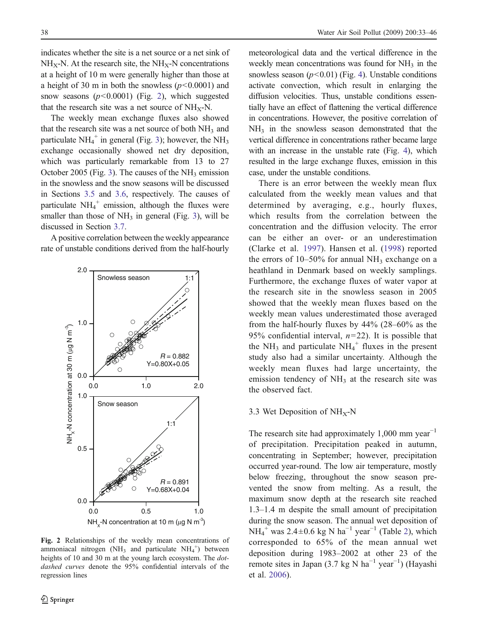indicates whether the site is a net source or a net sink of  $NH_X-N$ . At the research site, the  $NH_X-N$  concentrations at a height of 10 m were generally higher than those at a height of 30 m in both the snowless  $(p<0.0001)$  and snow seasons  $(p<0.0001)$  (Fig. 2), which suggested that the research site was a net source of  $NH_X-N$ .

The weekly mean exchange fluxes also showed that the research site was a net source of both  $NH<sub>3</sub>$  and particulate  $NH_4^+$  in general (Fig. [3](#page-6-0)); however, the  $NH_3$ exchange occasionally showed net dry deposition, which was particularly remarkable from 13 to 27 October 2005 (Fig. [3](#page-6-0)). The causes of the  $NH<sub>3</sub>$  emission in the snowless and the snow seasons will be discussed in Sections [3.5](#page-6-0) and [3.6](#page-8-0), respectively. The causes of particulate  $NH_4^+$  emission, although the fluxes were smaller than those of  $NH_3$  $NH_3$  in general (Fig. 3), will be discussed in Section [3.7](#page-8-0).

A positive correlation between the weekly appearance rate of unstable conditions derived from the half-hourly



Fig. 2 Relationships of the weekly mean concentrations of ammoniacal nitrogen (NH<sub>3</sub> and particulate NH<sub>4</sub><sup>+</sup>) between heights of 10 and 30 m at the young larch ecosystem. The *dot*dashed curves denote the 95% confidential intervals of the regression lines

meteorological data and the vertical difference in the weekly mean concentrations was found for  $NH<sub>3</sub>$  in the snowless season  $(p<0.01)$  (Fig. [4](#page-7-0)). Unstable conditions activate convection, which result in enlarging the diffusion velocities. Thus, unstable conditions essentially have an effect of flattening the vertical difference in concentrations. However, the positive correlation of  $NH<sub>3</sub>$  in the snowless season demonstrated that the vertical difference in concentrations rather became large with an increase in the unstable rate (Fig. [4](#page-7-0)), which resulted in the large exchange fluxes, emission in this case, under the unstable conditions.

There is an error between the weekly mean flux calculated from the weekly mean values and that determined by averaging, e.g., hourly fluxes, which results from the correlation between the concentration and the diffusion velocity. The error can be either an over- or an underestimation (Clarke et al. [1997](#page-11-0)). Hansen et al. [\(1998](#page-12-0)) reported the errors of  $10-50\%$  for annual NH<sub>3</sub> exchange on a heathland in Denmark based on weekly samplings. Furthermore, the exchange fluxes of water vapor at the research site in the snowless season in 2005 showed that the weekly mean fluxes based on the weekly mean values underestimated those averaged from the half-hourly fluxes by 44% (28–60% as the 95% confidential interval,  $n=22$ ). It is possible that the NH<sub>3</sub> and particulate  $NH_4^+$  fluxes in the present study also had a similar uncertainty. Although the weekly mean fluxes had large uncertainty, the emission tendency of  $NH<sub>3</sub>$  at the research site was the observed fact.

#### 3.3 Wet Deposition of  $NH_X-N$

The research site had approximately  $1,000$  mm year<sup>-1</sup> of precipitation. Precipitation peaked in autumn, concentrating in September; however, precipitation occurred year-round. The low air temperature, mostly below freezing, throughout the snow season prevented the snow from melting. As a result, the maximum snow depth at the research site reached 1.3–1.4 m despite the small amount of precipitation during the snow season. The annual wet deposition of  $NH_4^+$  was [2](#page-7-0).4 $\pm$ 0.6 kg N ha<sup>-1</sup> year<sup>-1</sup> (Table 2), which corresponded to 65% of the mean annual wet deposition during 1983–2002 at other 23 of the remote sites in Japan (3.7 kg N ha<sup>-1</sup> year<sup>-1</sup>) (Hayashi et al. [2006](#page-12-0)).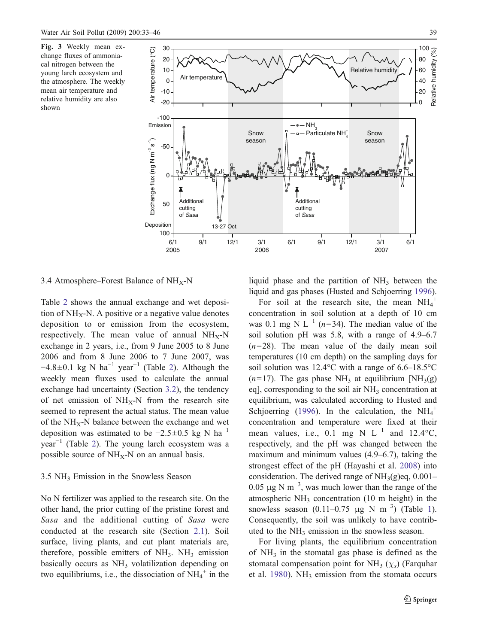<span id="page-6-0"></span>Fig. 3 Weekly mean exchange fluxes of ammoniacal nitrogen between the young larch ecosystem and the atmosphere. The weekly mean air temperature and relative humidity are also shown



3.4 Atmosphere–Forest Balance of  $NH<sub>x</sub>$ -N

Table [2](#page-7-0) shows the annual exchange and wet deposition of  $NH_X-N$ . A positive or a negative value denotes deposition to or emission from the ecosystem, respectively. The mean value of annual  $NH_X-N$ exchange in 2 years, i.e., from 9 June 2005 to 8 June 2006 and from 8 June 2006 to 7 June 2007, was  $-4.8\pm0.1$  kg N ha<sup>-1</sup> year<sup>-1</sup> (Table [2](#page-7-0)). Although the weekly mean fluxes used to calculate the annual exchange had uncertainty (Section [3.2](#page-4-0)), the tendency of net emission of  $NH_X-N$  from the research site seemed to represent the actual status. The mean value of the  $NH_X-N$  balance between the exchange and wet deposition was estimated to be  $-2.5\pm0.5$  kg N ha<sup>-1</sup>  $year<sup>-1</sup>$  (Table [2](#page-7-0)). The young larch ecosystem was a possible source of  $NH_X-N$  on an annual basis.

# $3.5$  NH<sub>3</sub> Emission in the Snowless Season

No N fertilizer was applied to the research site. On the other hand, the prior cutting of the pristine forest and Sasa and the additional cutting of Sasa were conducted at the research site (Section [2.1](#page-1-0)). Soil surface, living plants, and cut plant materials are, therefore, possible emitters of  $NH<sub>3</sub>$ . NH<sub>3</sub> emission basically occurs as  $NH<sub>3</sub>$  volatilization depending on two equilibriums, i.e., the dissociation of  $NH_4^+$  in the

liquid phase and the partition of  $NH<sub>3</sub>$  between the liquid and gas phases (Husted and Schjoerring [1996](#page-12-0)).

For soil at the research site, the mean  $NH_4^+$ concentration in soil solution at a depth of 10 cm was 0.1 mg N L<sup>-1</sup> (n=34). The median value of the soil solution pH was 5.8, with a range of 4.9–6.7  $(n=28)$ . The mean value of the daily mean soil temperatures (10 cm depth) on the sampling days for soil solution was 12.4°C with a range of 6.6–18.5°C  $(n=17)$ . The gas phase NH<sub>3</sub> at equilibrium [NH<sub>3</sub>(g) eq], corresponding to the soil air  $NH<sub>3</sub>$  concentration at equilibrium, was calculated according to Husted and Schjoerring [\(1996](#page-12-0)). In the calculation, the  $NH_4^+$ concentration and temperature were fixed at their mean values, i.e., 0.1 mg N  $L^{-1}$  and 12.4°C, respectively, and the pH was changed between the maximum and minimum values (4.9–6.7), taking the strongest effect of the pH (Hayashi et al. [2008](#page-12-0)) into consideration. The derived range of  $NH<sub>3</sub>(g)$ eq, 0.001– 0.05  $\mu$ g N m<sup>-3</sup>, was much lower than the range of the atmospheric  $NH<sub>3</sub>$  concentration (10 m height) in the snowless season  $(0.11-0.75 \mu g N m^{-3})$  $(0.11-0.75 \mu g N m^{-3})$  $(0.11-0.75 \mu g N m^{-3})$  (Table 1). Consequently, the soil was unlikely to have contributed to the  $NH<sub>3</sub>$  emission in the snowless season.

For living plants, the equilibrium concentration of  $NH<sub>3</sub>$  in the stomatal gas phase is defined as the stomatal compensation point for  $NH<sub>3</sub>(\chi<sub>s</sub>)$  (Farquhar et al. [1980](#page-11-0)). NH<sub>3</sub> emission from the stomata occurs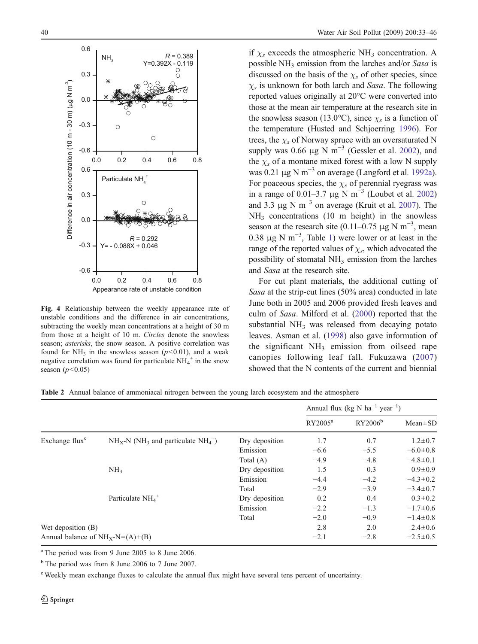<span id="page-7-0"></span>

Fig. 4 Relationship between the weekly appearance rate of unstable conditions and the difference in air concentrations, subtracting the weekly mean concentrations at a height of 30 m from those at a height of 10 m. Circles denote the snowless season; asterisks, the snow season. A positive correlation was found for NH<sub>3</sub> in the snowless season ( $p$ <0.01), and a weak negative correlation was found for particulate  $NH_4^+$  in the snow season  $(p<0.05)$ 

if  $\chi_s$  exceeds the atmospheric NH<sub>3</sub> concentration. A possible NH<sub>3</sub> emission from the larches and/or Sasa is discussed on the basis of the  $\chi_s$  of other species, since  $\chi_s$  is unknown for both larch and Sasa. The following reported values originally at 20°C were converted into those at the mean air temperature at the research site in the snowless season (13.0°C), since  $\chi_s$  is a function of the temperature (Husted and Schjoerring [1996](#page-12-0)). For trees, the  $\chi_s$  of Norway spruce with an oversaturated N supply was 0.66  $\mu$ g N m<sup>-3</sup> (Gessler et al. [2002](#page-12-0)), and the  $\chi_s$  of a montane mixed forest with a low N supply was 0.21  $\mu$ g N m<sup>-3</sup> on average (Langford et al. [1992a](#page-12-0)). For poaceous species, the  $\chi_s$  of perennial ryegrass was in a range of 0.01–3.7 µg N m<sup>-3</sup> (Loubet et al. [2002](#page-12-0)) and 3.3 µg N m<sup>-3</sup> on average (Kruit et al. [2007](#page-12-0)). The  $NH<sub>3</sub>$  concentrations (10 m height) in the snowless season at the research site (0.11–0.75 µg N m<sup>-3</sup>, mean 0.38  $\mu$ g N m<sup>-3</sup>, Table [1](#page-4-0)) were lower or at least in the range of the reported values of  $\chi_s$ , which advocated the possibility of stomatal NH<sub>3</sub> emission from the larches and Sasa at the research site.

For cut plant materials, the additional cutting of Sasa at the strip-cut lines (50% area) conducted in late June both in 2005 and 2006 provided fresh leaves and culm of Sasa. Milford et al. [\(2000](#page-12-0)) reported that the substantial  $NH<sub>3</sub>$  was released from decaying potato leaves. Asman et al. [\(1998](#page-11-0)) also gave information of the significant  $NH_3$  emission from oilseed rape canopies following leaf fall. Fukuzawa [\(2007](#page-11-0)) showed that the N contents of the current and biennial

Table 2 Annual balance of ammoniacal nitrogen between the young larch ecosystem and the atmosphere

|                                    |                                                      |                | Annual flux (kg N $ha^{-1}$ year <sup>-1</sup> ) |                     |                |
|------------------------------------|------------------------------------------------------|----------------|--------------------------------------------------|---------------------|----------------|
|                                    |                                                      |                | $RY2005^a$                                       | RY2006 <sup>b</sup> | $Mean \pm SD$  |
| Exchange flux <sup>c</sup>         | $NH_x-N$ (NH <sub>3</sub> and particulate $NH_4^+$ ) | Dry deposition | 1.7                                              | 0.7                 | $1.2 \pm 0.7$  |
|                                    |                                                      | Emission       | $-6.6$                                           | $-5.5$              | $-6.0 \pm 0.8$ |
|                                    |                                                      | Total $(A)$    | $-4.9$                                           | $-4.8$              | $-4.8 \pm 0.1$ |
|                                    | NH <sub>3</sub>                                      | Dry deposition | 1.5                                              | 0.3                 | $0.9 \pm 0.9$  |
|                                    |                                                      | Emission       | $-4.4$                                           | $-4.2$              | $-4.3 \pm 0.2$ |
|                                    |                                                      | Total          | $-2.9$                                           | $-3.9$              | $-3.4 \pm 0.7$ |
|                                    | Particulate $NH4$ <sup>+</sup>                       | Dry deposition | 0.2                                              | 0.4                 | $0.3 \pm 0.2$  |
|                                    |                                                      | Emission       | $-2.2$                                           | $-1.3$              | $-1.7 \pm 0.6$ |
|                                    |                                                      | Total          | $-2.0$                                           | $-0.9$              | $-1.4 \pm 0.8$ |
| Wet deposition (B)                 |                                                      | 2.8            | 2.0                                              | $2.4 \pm 0.6$       |                |
| Annual balance of $NH_X-N=(A)+(B)$ |                                                      |                | $-2.1$                                           | $-2.8$              | $-2.5 \pm 0.5$ |

<sup>a</sup> The period was from 9 June 2005 to 8 June 2006.

<sup>b</sup> The period was from 8 June 2006 to 7 June 2007.

<sup>c</sup> Weekly mean exchange fluxes to calculate the annual flux might have several tens percent of uncertainty.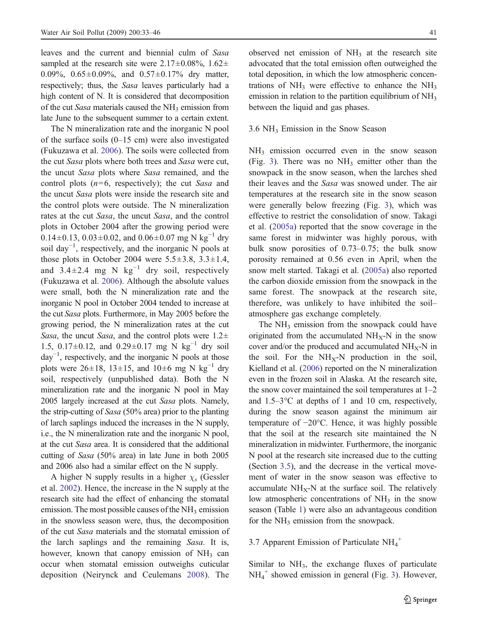<span id="page-8-0"></span>leaves and the current and biennial culm of Sasa sampled at the research site were  $2.17\pm0.08\%$ ,  $1.62\pm$ 0.09%, 0.65±0.09%, and 0.57±0.17% dry matter, respectively; thus, the Sasa leaves particularly had a high content of N. It is considered that decomposition of the cut Sasa materials caused the  $NH<sub>3</sub>$  emission from late June to the subsequent summer to a certain extent.

The N mineralization rate and the inorganic N pool of the surface soils  $(0-15 \text{ cm})$  were also investigated (Fukuzawa et al. [2006](#page-11-0)). The soils were collected from the cut Sasa plots where both trees and Sasa were cut, the uncut Sasa plots where Sasa remained, and the control plots  $(n=6,$  respectively); the cut Sasa and the uncut Sasa plots were inside the research site and the control plots were outside. The N mineralization rates at the cut Sasa, the uncut Sasa, and the control plots in October 2004 after the growing period were  $0.14\pm0.13$ ,  $0.03\pm0.02$ , and  $0.06\pm0.07$  mg N kg<sup>-1</sup> dry soil day<sup>-1</sup>, respectively, and the inorganic N pools at those plots in October 2004 were  $5.5\pm3.8$ ,  $3.3\pm1.4$ , and 3.4 $\pm$ 2.4 mg N kg<sup>-1</sup> dry soil, respectively (Fukuzawa et al. [2006](#page-11-0)). Although the absolute values were small, both the N mineralization rate and the inorganic N pool in October 2004 tended to increase at the cut Sasa plots. Furthermore, in May 2005 before the growing period, the N mineralization rates at the cut Sasa, the uncut Sasa, and the control plots were  $1.2\pm$ 1.5, 0.17±0.12, and 0.29±0.17 mg N kg<sup>-1</sup> dry soil day−<sup>1</sup> , respectively, and the inorganic N pools at those plots were 26±18, 13±15, and 10±6 mg N kg<sup>-1</sup> dry soil, respectively (unpublished data). Both the N mineralization rate and the inorganic N pool in May 2005 largely increased at the cut Sasa plots. Namely, the strip-cutting of Sasa (50% area) prior to the planting of larch saplings induced the increases in the N supply, i.e., the N mineralization rate and the inorganic N pool, at the cut Sasa area. It is considered that the additional cutting of Sasa (50% area) in late June in both 2005 and 2006 also had a similar effect on the N supply.

A higher N supply results in a higher  $\chi_s$  (Gessler et al. [2002](#page-12-0)). Hence, the increase in the N supply at the research site had the effect of enhancing the stomatal emission. The most possible causes of the  $NH<sub>3</sub>$  emission in the snowless season were, thus, the decomposition of the cut Sasa materials and the stomatal emission of the larch saplings and the remaining Sasa. It is, however, known that canopy emission of  $NH<sub>3</sub>$  can occur when stomatal emission outweighs cuticular deposition (Neirynck and Ceulemans [2008](#page-12-0)). The

observed net emission of  $NH<sub>3</sub>$  at the research site advocated that the total emission often outweighed the total deposition, in which the low atmospheric concentrations of  $NH<sub>3</sub>$  were effective to enhance the  $NH<sub>3</sub>$ emission in relation to the partition equilibrium of  $NH<sub>3</sub>$ between the liquid and gas phases.

#### 3.6 NH3 Emission in the Snow Season

NH3 emission occurred even in the snow season (Fig. [3](#page-6-0)). There was no  $NH<sub>3</sub>$  emitter other than the snowpack in the snow season, when the larches shed their leaves and the Sasa was snowed under. The air temperatures at the research site in the snow season were generally below freezing (Fig. [3](#page-6-0)), which was effective to restrict the consolidation of snow. Takagi et al. [\(2005a](#page-12-0)) reported that the snow coverage in the same forest in midwinter was highly porous, with bulk snow porosities of 0.73–0.75; the bulk snow porosity remained at 0.56 even in April, when the snow melt started. Takagi et al. [\(2005a](#page-12-0)) also reported the carbon dioxide emission from the snowpack in the same forest. The snowpack at the research site, therefore, was unlikely to have inhibited the soil– atmosphere gas exchange completely.

The NH<sub>3</sub> emission from the snowpack could have originated from the accumulated  $NH_X-N$  in the snow cover and/or the produced and accumulated  $NH_{x}N$  in the soil. For the  $NH_X-N$  production in the soil, Kielland et al. [\(2006](#page-12-0)) reported on the N mineralization even in the frozen soil in Alaska. At the research site, the snow cover maintained the soil temperatures at  $1-2$ and 1.5–3°C at depths of 1 and 10 cm, respectively, during the snow season against the minimum air temperature of −20°C. Hence, it was highly possible that the soil at the research site maintained the N mineralization in midwinter. Furthermore, the inorganic N pool at the research site increased due to the cutting (Section [3.5](#page-6-0)), and the decrease in the vertical movement of water in the snow season was effective to accumulate  $NH_X-N$  at the surface soil. The relatively low atmospheric concentrations of  $NH<sub>3</sub>$  in the snow season (Table [1](#page-4-0)) were also an advantageous condition for the  $NH<sub>3</sub>$  emission from the snowpack.

# 3.7 Apparent Emission of Particulate  $NH_4^+$

Similar to NH<sub>3</sub>, the exchange fluxes of particulate NH4 <sup>+</sup> showed emission in general (Fig. [3](#page-6-0)). However,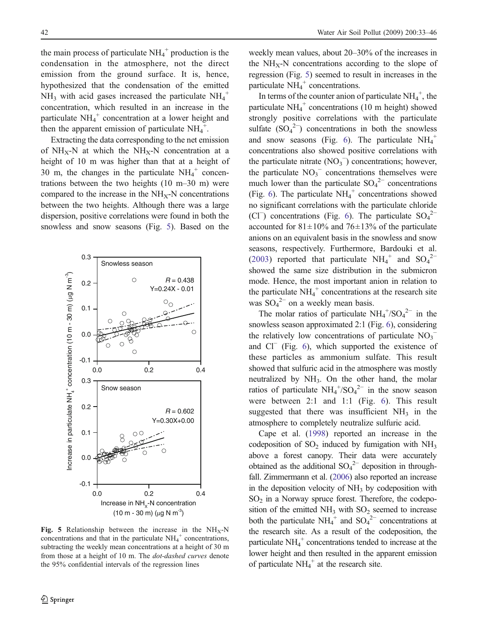the main process of particulate  $NH_4^+$  production is the condensation in the atmosphere, not the direct emission from the ground surface. It is, hence, hypothesized that the condensation of the emitted  $NH_3$  with acid gases increased the particulate  $NH_4^+$ concentration, which resulted in an increase in the particulate  $NH_4^+$  concentration at a lower height and then the apparent emission of particulate  $NH_4^+$ .

Extracting the data corresponding to the net emission of  $NH_X-N$  at which the  $NH_X-N$  concentration at a height of 10 m was higher than that at a height of 30 m, the changes in the particulate  $NH_4^+$  concentrations between the two heights (10 m–30 m) were compared to the increase in the  $NH<sub>X</sub>-N$  concentrations between the two heights. Although there was a large dispersion, positive correlations were found in both the snowless and snow seasons (Fig. 5). Based on the



Fig. 5 Relationship between the increase in the  $NH_X-N$ concentrations and that in the particulate  $NH_4^+$  concentrations, subtracting the weekly mean concentrations at a height of 30 m from those at a height of 10 m. The dot-dashed curves denote the 95% confidential intervals of the regression lines

weekly mean values, about 20–30% of the increases in the  $NH_X-N$  concentrations according to the slope of regression (Fig. 5) seemed to result in increases in the particulate  $NH_4^+$  concentrations.

In terms of the counter anion of particulate  $NH_4^+$ , the particulate  $NH_4^+$  concentrations (10 m height) showed strongly positive correlations with the particulate sulfate  $(SO_4^2$  concentrations in both the snowless and snow seasons (Fig. [6](#page-10-0)). The particulate  $NH_4^+$ concentrations also showed positive correlations with the particulate nitrate  $(NO<sub>3</sub>^-)$  concentrations; however, the particulate  $NO_3$ <sup> $-$ </sup> concentrations themselves were much lower than the particulate  $SO_4^2$ <sup>-</sup> concentrations (Fig. [6](#page-10-0)). The particulate  $NH_4^+$  concentrations showed no significant correlations with the particulate chloride (Cl<sup>−</sup>) concentrations (Fig. [6](#page-10-0)). The particulate  $SO_4^2$ <sup>-</sup> accounted for  $81 \pm 10\%$  and  $76 \pm 13\%$  of the particulate anions on an equivalent basis in the snowless and snow seasons, respectively. Furthermore, Bardouki et al. [\(2003](#page-11-0)) reported that particulate  $NH_4^+$  and  $SO_4^2^$ showed the same size distribution in the submicron mode. Hence, the most important anion in relation to the particulate  $NH_4^+$  concentrations at the research site was  $SO_4^2$ <sup>-</sup> on a weekly mean basis.

The molar ratios of particulate  $NH_4^+/SO_4^{2-}$  in the snowless season approximated 2:1 (Fig. [6](#page-10-0)), considering the relatively low concentrations of particulate  $NO_3^$ and Cl<sup>−</sup> (Fig. [6](#page-10-0)), which supported the existence of these particles as ammonium sulfate. This result showed that sulfuric acid in the atmosphere was mostly neutralized by  $NH_3$ . On the other hand, the molar ratios of particulate  $NH_4^+ / SO_4^{2-}$  in the snow season were between 2:1 and 1:1 (Fig. [6](#page-10-0)). This result suggested that there was insufficient  $NH<sub>3</sub>$  in the atmosphere to completely neutralize sulfuric acid.

Cape et al. [\(1998](#page-11-0)) reported an increase in the codeposition of  $SO_2$  induced by fumigation with  $NH_3$ above a forest canopy. Their data were accurately obtained as the additional  $SO_4^2$ <sup>-</sup> deposition in throughfall. Zimmermann et al. [\(2006](#page-13-0)) also reported an increase in the deposition velocity of  $NH<sub>3</sub>$  by codeposition with  $SO<sub>2</sub>$  in a Norway spruce forest. Therefore, the codeposition of the emitted  $NH<sub>3</sub>$  with  $SO<sub>2</sub>$  seemed to increase both the particulate  $NH_4^+$  and  $SO_4^2^-$  concentrations at the research site. As a result of the codeposition, the particulate  $NH_4^+$  concentrations tended to increase at the lower height and then resulted in the apparent emission of particulate  $NH_4^+$  at the research site.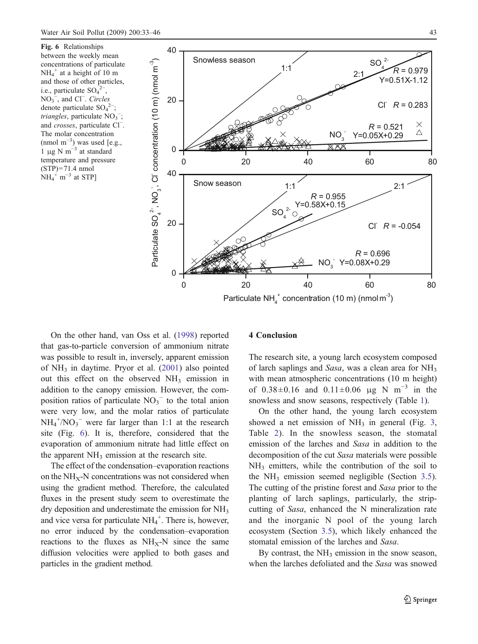<span id="page-10-0"></span>Fig. 6 Relationships between the weekly mean concentrations of particulate  $NH_4^+$  at a height of 10 m and those of other particles, i.e., particulate  $SO_4^2$ <sup>-</sup> ,  $NO<sub>3</sub><sup>-</sup>$ , and Cl<sup>−</sup>. Circles denote particulate  $SO_4^2$ ; *triangles*, particulate  $NO_3^-$ ; and crosses, particulate Cl<sup>−</sup> . The molar concentration  $\text{(nmol m}^{-3})$  was used [e.g., 1 μg N m<sup> $-3$ </sup> at standard temperature and pressure  $(STP)=71.4$  nmol  $NH_4^+$  m<sup>-3</sup> at STP]



Particulate  $NH_4^+$  concentration (10 m) (nmol m<sup>-3</sup>)

On the other hand, van Oss et al. [\(1998](#page-13-0)) reported that gas-to-particle conversion of ammonium nitrate was possible to result in, inversely, apparent emission of  $NH_3$  in daytime. Pryor et al. [\(2001](#page-12-0)) also pointed out this effect on the observed NH<sub>3</sub> emission in addition to the canopy emission. However, the composition ratios of particulate  $NO<sub>3</sub><sup>-</sup>$  to the total anion were very low, and the molar ratios of particulate  $NH_4^+/NO_3^-$  were far larger than 1:1 at the research site (Fig. 6). It is, therefore, considered that the evaporation of ammonium nitrate had little effect on the apparent  $NH<sub>3</sub>$  emission at the research site.

The effect of the condensation–evaporation reactions on the  $NH<sub>X</sub>-N$  concentrations was not considered when using the gradient method. Therefore, the calculated fluxes in the present study seem to overestimate the dry deposition and underestimate the emission for  $NH<sub>3</sub>$ and vice versa for particulate  $NH_4^+$ . There is, however, no error induced by the condensation–evaporation reactions to the fluxes as  $NH_X-N$  since the same diffusion velocities were applied to both gases and particles in the gradient method.

# 4 Conclusion

The research site, a young larch ecosystem composed of larch saplings and Sasa, was a clean area for  $NH<sub>3</sub>$ with mean atmospheric concentrations (10 m height) of  $0.38 \pm 0.16$  and  $0.11 \pm 0.06$  μg N m<sup>-3</sup> in the snowless and snow seasons, respectively (Table [1](#page-4-0)).

On the other hand, the young larch ecosystem showed a net emission of  $NH_3$  $NH_3$  in general (Fig. 3, Table [2](#page-7-0)). In the snowless season, the stomatal emission of the larches and Sasa in addition to the decomposition of the cut Sasa materials were possible  $NH<sub>3</sub>$  emitters, while the contribution of the soil to the  $NH_3$  emission seemed negligible (Section [3.5](#page-6-0)). The cutting of the pristine forest and Sasa prior to the planting of larch saplings, particularly, the stripcutting of Sasa, enhanced the N mineralization rate and the inorganic N pool of the young larch ecosystem (Section [3.5](#page-6-0)), which likely enhanced the stomatal emission of the larches and Sasa.

By contrast, the  $NH<sub>3</sub>$  emission in the snow season, when the larches defoliated and the Sasa was snowed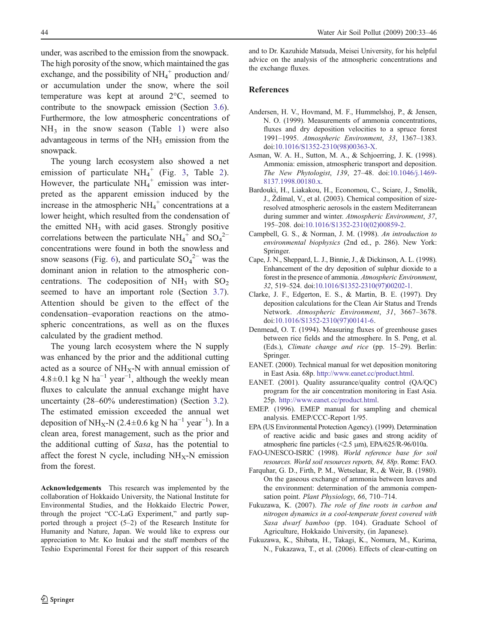<span id="page-11-0"></span>under, was ascribed to the emission from the snowpack. The high porosity of the snow, which maintained the gas exchange, and the possibility of  $NH_4^+$  production and/ or accumulation under the snow, where the soil temperature was kept at around 2°C, seemed to contribute to the snowpack emission (Section [3.6](#page-8-0)). Furthermore, the low atmospheric concentrations of  $NH<sub>3</sub>$  in the snow season (Table [1](#page-4-0)) were also advantageous in terms of the  $NH<sub>3</sub>$  emission from the snowpack.

The young larch ecosystem also showed a net emission of particulate  $NH_4^+$  (Fig. [3](#page-6-0), Table [2](#page-7-0)). However, the particulate  $NH_4^+$  emission was interpreted as the apparent emission induced by the increase in the atmospheric  $NH_4^+$  concentrations at a lower height, which resulted from the condensation of the emitted  $NH<sub>3</sub>$  with acid gases. Strongly positive correlations between the particulate  $NH_4^+$  and  $SO_4^2^$ concentrations were found in both the snowless and snow seasons (Fig. [6](#page-10-0)), and particulate  $SO_4^2$ <sup>-</sup> was the dominant anion in relation to the atmospheric concentrations. The codeposition of  $NH_3$  with  $SO_2$ seemed to have an important role (Section [3.7](#page-8-0)). Attention should be given to the effect of the condensation–evaporation reactions on the atmospheric concentrations, as well as on the fluxes calculated by the gradient method.

The young larch ecosystem where the N supply was enhanced by the prior and the additional cutting acted as a source of  $NH_X-N$  with annual emission of  $4.8 \pm 0.1$  kg N ha<sup>-1</sup> year<sup>-1</sup>, although the weekly mean fluxes to calculate the annual exchange might have uncertainty (28–60% underestimation) (Section [3.2](#page-4-0)). The estimated emission exceeded the annual wet deposition of NH<sub>X</sub>-N (2.4±0.6 kg N ha<sup>-1</sup> year<sup>-1</sup>). In a clean area, forest management, such as the prior and the additional cutting of Sasa, has the potential to affect the forest N cycle, including  $NH<sub>X</sub>$ -N emission from the forest.

Acknowledgements This research was implemented by the collaboration of Hokkaido University, the National Institute for Environmental Studies, and the Hokkaido Electric Power, through the project "CC-LaG Experiment," and partly supported through a project (5–2) of the Research Institute for Humanity and Nature, Japan. We would like to express our appreciation to Mr. Ko Inukai and the staff members of the Teshio Experimental Forest for their support of this research and to Dr. Kazuhide Matsuda, Meisei University, for his helpful advice on the analysis of the atmospheric concentrations and the exchange fluxes.

#### References

- Andersen, H. V., Hovmand, M. F., Hummelshoj, P., & Jensen, N. O. (1999). Measurements of ammonia concentrations, fluxes and dry deposition velocities to a spruce forest 1991–1995. Atmospheric Environment, 33, 1367–1383. do[i:10.1016/S1352-2310\(98\)00363-X](http://dx.doi.org/10.1016/S1352-2310(98)00363-X).
- Asman, W. A. H., Sutton, M. A., & Schjoerring, J. K. (1998). Ammonia: emission, atmospheric transport and deposition. The New Phytologist, 139, 27–48. do[i:10.1046/j.1469](http://dx.doi.org/10.1046/j.1469-8137.1998.00180.x)- [8137.1998.00180.x](http://dx.doi.org/10.1046/j.1469-8137.1998.00180.x).
- Bardouki, H., Liakakou, H., Economou, C., Sciare, J., Smolík, J., *Ž*dímal, V., et al. (2003). Chemical composition of sizeresolved atmospheric aerosols in the eastern Mediterranean during summer and winter. Atmospheric Environment, 37, 195–208. do[i:10.1016/S1352-2310\(02\)00859-2](http://dx.doi.org/10.1016/S1352-2310(02)00859-2).
- Campbell, G. S., & Norman, J. M. (1998). An introduction to environmental biophysics (2nd ed., p. 286). New York: Springer.
- Cape, J. N., Sheppard, L. J., Binnie, J., & Dickinson, A. L. (1998). Enhancement of the dry deposition of sulphur dioxide to a forest in the presence of ammonia. Atmospheric Environment, 32, 519–524. do[i:10.1016/S1352-2310\(97\)00202-1](http://dx.doi.org/10.1016/S1352-2310(97)00202-1).
- Clarke, J. F., Edgerton, E. S., & Martin, B. E. (1997). Dry deposition calculations for the Clean Air Status and Trends Network. Atmospheric Environment, 31, 3667–3678. do[i:10.1016/S1352-2310\(97\)00141-6](http://dx.doi.org/10.1016/S1352-2310(97)00141-6).
- Denmead, O. T. (1994). Measuring fluxes of greenhouse gases between rice fields and the atmosphere. In S. Peng, et al. (Eds.), Climate change and rice (pp. 15–29). Berlin: Springer.
- EANET. (2000). Technical manual for wet deposition monitoring in East Asia. 68p. [http://www.eanet.cc/product.htm](http://www.eanet.cc/product.html)l.
- EANET. (2001). Quality assurance/quality control (QA/QC) program for the air concentration monitoring in East Asia. 25p. [http://www.eanet.cc/product.htm](http://www.eanet.cc/product.html)l.
- EMEP. (1996). EMEP manual for sampling and chemical analysis. EMEP/CCC-Report 1/95.
- EPA (US Environmental Protection Agency). (1999). Determination of reactive acidic and basic gases and strong acidity of atmospheric fine particles (<2.5 μm), EPA/625/R-96/010a.
- FAO-UNESCO-ISRIC (1998). World reference base for soil resources. World soil resources reports, 84, 88p. Rome: FAO.
- Farquhar, G. D., Firth, P. M., Wetselaar, R., & Weir, B. (1980). On the gaseous exchange of ammonia between leaves and the environment: determination of the ammonia compensation point. Plant Physiology, 66, 710-714.
- Fukuzawa, K. (2007). The role of fine roots in carbon and nitrogen dynamics in a cool-temperate forest covered with Sasa dwarf bamboo (pp. 104). Graduate School of Agriculture, Hokkaido University, (in Japanese).
- Fukuzawa, K., Shibata, H., Takagi, K., Nomura, M., Kurima, N., Fukazawa, T., et al. (2006). Effects of clear-cutting on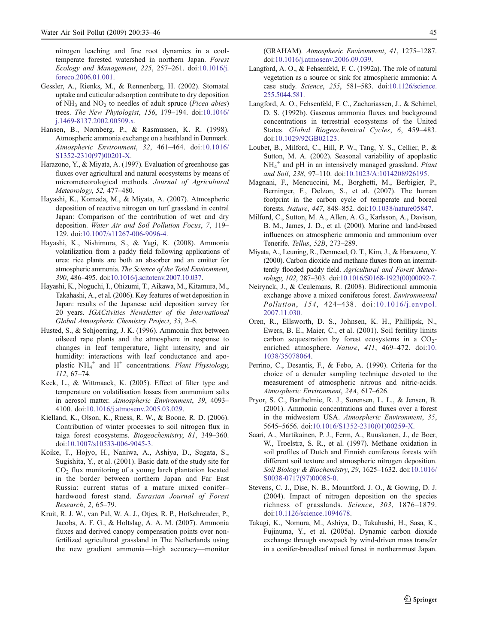<span id="page-12-0"></span>nitrogen leaching and fine root dynamics in a cooltemperate forested watershed in northern Japan. Forest Ecology and Management, 225, 257–261. do[i:10.1016/j](http://dx.doi.org/10.1016/j.foreco.2006.01.001). [foreco.2006.01.001](http://dx.doi.org/10.1016/j.foreco.2006.01.001).

- Gessler, A., Rienks, M., & Rennenberg, H. (2002). Stomatal uptake and cuticular adsorption contribute to dry deposition of  $NH_3$  and  $NO_2$  to needles of adult spruce (*Picea abies*) trees. The New Phytologist, 156, 179–194. do[i:10.1046](http://dx.doi.org/10.1046/j.1469-8137.2002.00509.x)/ [j.1469-8137.2002.00509.x](http://dx.doi.org/10.1046/j.1469-8137.2002.00509.x).
- Hansen, B., Nørnberg, P., & Rasmussen, K. R. (1998). Atmospheric ammonia exchange on a heathland in Denmark. Atmospheric Environment, 32, 461–464. do[i:10.1016](http://dx.doi.org/10.1016/S1352-2310(97)00201-X)/ [S1352-2310\(97\)00201-X](http://dx.doi.org/10.1016/S1352-2310(97)00201-X).
- Harazono, Y., & Miyata, A. (1997). Evaluation of greenhouse gas fluxes over agricultural and natural ecosystems by means of micrometeorological methods. Journal of Agricultural Meteorology, 52, 477–480.
- Hayashi, K., Komada, M., & Miyata, A. (2007). Atmospheric deposition of reactive nitrogen on turf grassland in central Japan: Comparison of the contribution of wet and dry deposition. Water Air and Soil Pollution Focus, 7, 119– 129. do[i:10.1007/s11267-006-9096-4](http://dx.doi.org/10.1007/s11267-006-9096-4).
- Hayashi, K., Nishimura, S., & Yagi, K. (2008). Ammonia volatilization from a paddy field following applications of urea: rice plants are both an absorber and an emitter for atmospheric ammonia. The Science of the Total Environment, 390, 486–495. do[i:10.1016/j.scitotenv.2007.10.037](http://dx.doi.org/10.1016/j.scitotenv.2007.10.037).
- Hayashi, K., Noguchi, I., Ohizumi, T., Aikawa, M., Kitamura, M., Takahashi, A., et al. (2006). Key features of wet deposition in Japan: results of the Japanese acid deposition survey for 20 years. IGACtivities Newsletter of the International Global Atmospheric Chemistry Project, 33, 2–6.
- Husted, S., & Schjoerring, J. K. (1996). Ammonia flux between oilseed rape plants and the atmosphere in response to changes in leaf temperature, light intensity, and air humidity: interactions with leaf conductance and apoplastic  $NH_4^+$  and  $H^+$  concentrations. Plant Physiology, 112, 67–74.
- Keck, L., & Wittmaack, K. (2005). Effect of filter type and temperature on volatilisation losses from ammonium salts in aerosol matter. Atmospheric Environment, 39, 4093– 4100. do[i:10.1016/j.atmosenv.2005.03.029](http://dx.doi.org/10.1016/j.atmosenv.2005.03.029).
- Kielland, K., Olson, K., Ruess, R. W., & Boone, R. D. (2006). Contribution of winter processes to soil nitrogen flux in taiga forest ecosystems. Biogeochemistry, 81, 349–360. do[i:10.1007/s10533-006-9045-3](http://dx.doi.org/10.1007/s10533-006-9045-3).
- Koike, T., Hojyo, H., Naniwa, A., Ashiya, D., Sugata, S., Sugishita, Y., et al. (2001). Basic data of the study site for  $CO<sub>2</sub>$  flux monitoring of a young larch plantation located in the border between northern Japan and Far East Russia: current status of a mature mixed conifer– hardwood forest stand. Eurasian Journal of Forest Research, 2, 65–79.
- Kruit, R. J. W., van Pul, W. A. J., Otjes, R. P., Hofschreuder, P., Jacobs, A. F. G., & Holtslag, A. A. M. (2007). Ammonia fluxes and derived canopy compensation points over nonfertilized agricultural grassland in The Netherlands using the new gradient ammonia—high accuracy—monitor

(GRAHAM). Atmospheric Environment, 41, 1275–1287. do[i:10.1016/j.atmosenv.2006.09.039](http://dx.doi.org/10.1016/j.atmosenv.2006.09.039).

- Langford, A. O., & Fehsenfeld, F. C. (1992a). The role of natural vegetation as a source or sink for atmospheric ammonia: A case study. Science, 255, 581–583. do[i:10.1126/science](http://dx.doi.org/10.1126/science.255.5044.581). [255.5044.581](http://dx.doi.org/10.1126/science.255.5044.581).
- Langford, A. O., Fehsenfeld, F. C., Zachariassen, J., & Schimel, D. S. (1992b). Gaseous ammonia fluxes and background concentrations in terrestrial ecosystems of the United States. Global Biogeochemical Cycles, 6, 459–483. do[i:10.1029/92GB02123](http://dx.doi.org/10.1029/92GB02123).
- Loubet, B., Milford, C., Hill, P. W., Tang, Y. S., Cellier, P., & Sutton, M. A. (2002). Seasonal variability of apoplastic  $NH_4^+$  and pH in an intensively managed grassland. Plant and Soil, 238, 97–110. do[i:10.1023/A:1014208926195](http://dx.doi.org/10.1023/A:1014208926195).
- Magnani, F., Mencuccini, M., Borghetti, M., Berbigier, P., Berninger, F., Delzon, S., et al. (2007). The human footprint in the carbon cycle of temperate and boreal forests. Nature, 447, 848–852. do[i:10.1038/nature05847](http://dx.doi.org/10.1038/nature05847).
- Milford, C., Sutton, M. A., Allen, A. G., Karlsson, A., Davison, B. M., James, J. D., et al. (2000). Marine and land-based influences on atmospheric ammonia and ammonium over Tenerife. Tellus, 52B, 273–289.
- Miyata, A., Leuning, R., Denmead, O. T., Kim, J., & Harazono, Y. (2000). Carbon dioxide and methane fluxes from an intermittently flooded paddy field. Agricultural and Forest Meteorology, 102, 287–303. do[i:10.1016/S0168-1923\(00\)00092-7](http://dx.doi.org/10.1016/S0168-1923(00)00092-7).
- Neirynck, J., & Ceulemans, R. (2008). Bidirectional ammonia exchange above a mixed coniferous forest. Environmental Pollution, 154, 424–438. doi[:10.1016/j.envpol](http://dx.doi.org/10.1016/j.envpol.2007.11.030). [2007.11.030](http://dx.doi.org/10.1016/j.envpol.2007.11.030).
- Oren, R., Ellsworth, D. S., Johnsen, K. H., Phillipsk, N., Ewers, B. E., Maier, C., et al. (2001). Soil fertility limits carbon sequestration by forest ecosystems in a  $CO<sub>2</sub>$ enriched atmosphere. Nature, 411, 469–472. do[i:10](http://dx.doi.org/10.1038/35078064). [1038/35078064](http://dx.doi.org/10.1038/35078064).
- Perrino, C., Desantis, F., & Febo, A. (1990). Criteria for the choice of a denuder sampling technique devoted to the measurement of atmospheric nitrous and nitric-acids. Atmospheric Environment, 24A, 617–626.
- Pryor, S. C., Barthelmie, R. J., Sorensen, L. L., & Jensen, B. (2001). Ammonia concentrations and fluxes over a forest in the midwestern USA. Atmospheric Environment, 35, 5645–5656. do[i:10.1016/S1352-2310\(01\)00259-X](http://dx.doi.org/10.1016/S1352-2310(01)00259-X).
- Saari, A., Martikainen, P. J., Ferm, A., Ruuskanen, J., de Boer, W., Troelstra, S. R., et al. (1997). Methane oxidation in soil profiles of Dutch and Finnish coniferous forests with different soil texture and atmospheric nitrogen deposition. Soil Biology & Biochemistry, 29, 1625–1632. do[i:10.1016](http://dx.doi.org/10.1016/S0038-0717(97)00085-0)/ [S0038-0717\(97\)00085-0](http://dx.doi.org/10.1016/S0038-0717(97)00085-0).
- Stevens, C. J., Dise, N. B., Mountford, J. O., & Gowing, D. J. (2004). Impact of nitrogen deposition on the species richness of grasslands. Science, 303, 1876–1879. do[i:10.1126/science.1094678](http://dx.doi.org/10.1126/science.1094678).
- Takagi, K., Nomura, M., Ashiya, D., Takahashi, H., Sasa, K., Fujinuma, Y., et al. (2005a). Dynamic carbon dioxide exchange through snowpack by wind-driven mass transfer in a conifer-broadleaf mixed forest in northernmost Japan.